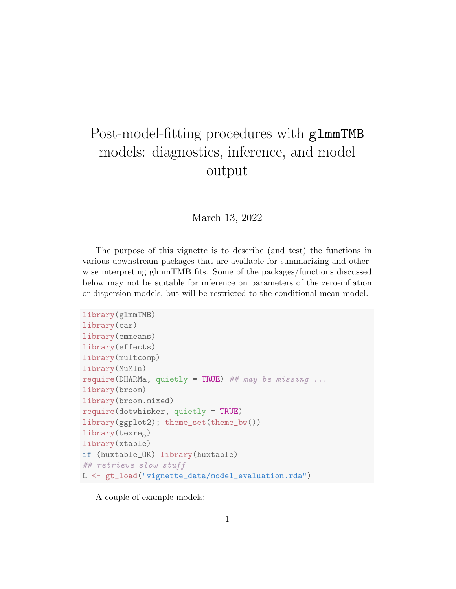# Post-model-fitting procedures with glmmTMB models: diagnostics, inference, and model output

March 13, 2022

The purpose of this vignette is to describe (and test) the functions in various downstream packages that are available for summarizing and otherwise interpreting glmmTMB fits. Some of the packages/functions discussed below may not be suitable for inference on parameters of the zero-inflation or dispersion models, but will be restricted to the conditional-mean model.

```
library(glmmTMB)
library(car)
library(emmeans)
library(effects)
library(multcomp)
library(MuMIn)
require(DHARMa, quietly = TRUE) # may be missing ...
library(broom)
library(broom.mixed)
require(dotwhisker, quietly = TRUE)
library(ggplot2); theme_set(theme_bw())
library(texreg)
library(xtable)
if (huxtable_OK) library(huxtable)
## retrieve slow stuff
L <- gt_load("vignette_data/model_evaluation.rda")
```
A couple of example models: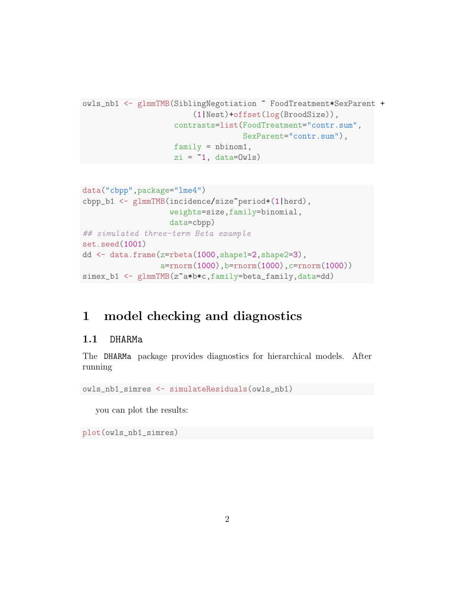```
owls_nb1 <- glmmTMB(SiblingNegotiation ~ FoodTreatment*SexParent +
                        (1|Nest)+offset(log(BroodSize)),
                    contrasts=list(FoodTreatment="contr.sum",
                                   SexParent="contr.sum"),
                    family = nbinom1,
                    zi = -1, data=Owls)
```

```
data("cbpp",package="lme4")
cbpp_b1 <- glmmTMB(incidence/size~period+(1|herd),
                   weights=size,family=binomial,
                   data=cbpp)
## simulated three-term Beta example
set.seed(1001)
dd <- data.frame(z=rbeta(1000,shape1=2,shape2=3),
                 a=rnorm(1000),b=rnorm(1000),c=rnorm(1000))
simex_b1 <- glmmTMB(z<sup>-</sup>a*b*c,family=beta_family,data=dd)
```
## 1 model checking and diagnostics

### 1.1 DHARMa

The DHARMa package provides diagnostics for hierarchical models. After running

owls\_nb1\_simres <- simulateResiduals(owls\_nb1)

you can plot the results:

plot(owls\_nb1\_simres)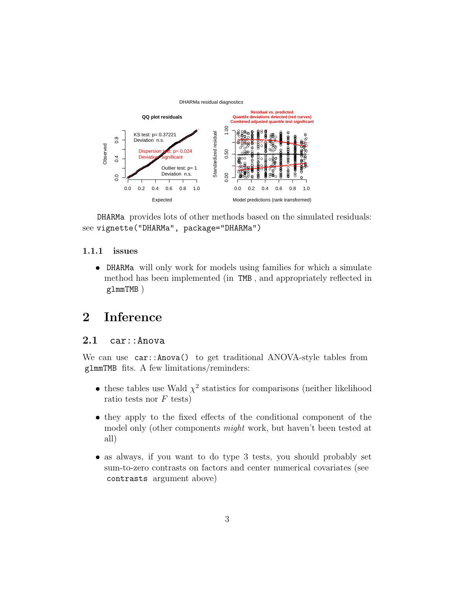

DHARMa provides lots of other methods based on the simulated residuals: see vignette("DHARMa", package="DHARMa")

### 1.1.1 issues

 DHARMa will only work for models using families for which a simulate method has been implemented (in TMB , and appropriately reflected in glmmTMB )

## 2 Inference

### 2.1 car::Anova

We can use  $car::Anova()$  to get traditional ANOVA-style tables from glmmTMB fits. A few limitations/reminders:

- these tables use Wald  $\chi^2$  statistics for comparisons (neither likelihood ratio tests nor  $F$  tests)
- they apply to the fixed effects of the conditional component of the model only (other components *might* work, but haven't been tested at all)
- as always, if you want to do type 3 tests, you should probably set sum-to-zero contrasts on factors and center numerical covariates (see contrasts argument above)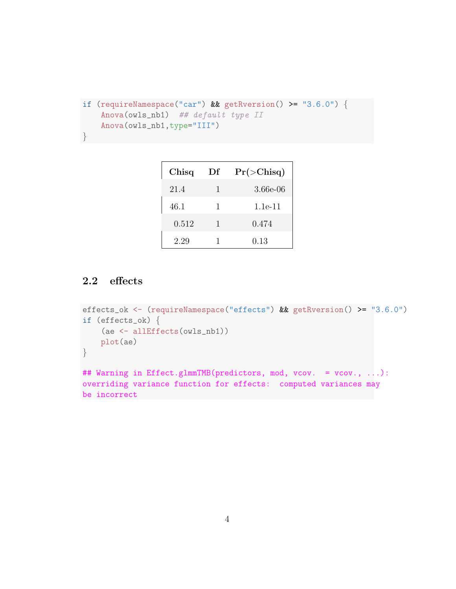```
if (requireNamespace("car") && getRversion() >= "3.6.0") {
    Anova(owls_nb1) ## default type II
    Anova(owls_nb1,type="III")
}
```

| Chisq | Df | $Pr(\geq Chisq)$ |
|-------|----|------------------|
| 21.4  | ı  | 3.66e-06         |
| 46.1  | 1  | $1.1e-11$        |
| 0.512 | 1  | 0.474            |
| 2.29  |    | 0.13             |

## 2.2 effects

```
effects_ok <- (requireNamespace("effects") && getRversion() >= "3.6.0")
if (effects_ok) {
    (ae <- allEffects(owls_nb1))
    plot(ae)
}
## Warning in Effect.glmmTMB(predictors, mod, vcov. = vcov., ...):
overriding variance function for effects: computed variances may
be incorrect
```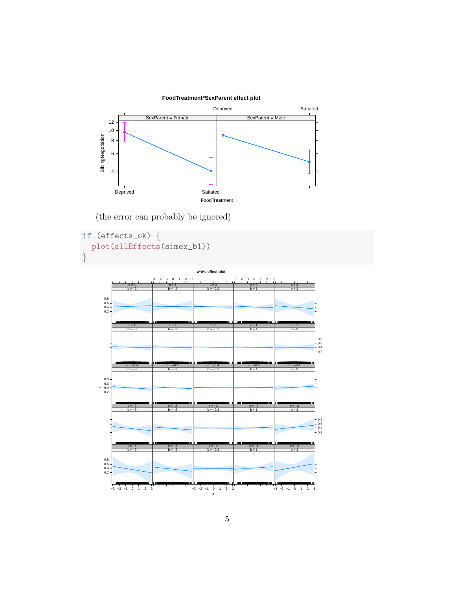

(the error can probably be ignored)

```
if (effects_ok) {
  plot(allEffects(simex_b1))
}
```
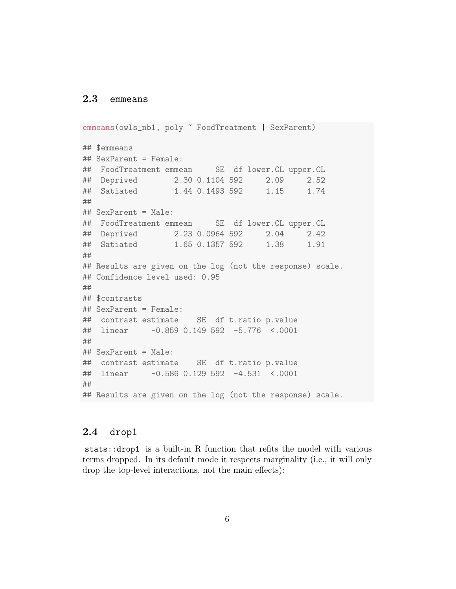### 2.3 emmeans

```
emmeans(owls_nb1, poly ~ FoodTreatment | SexParent)
## $emmeans
## SexParent = Female:
## FoodTreatment emmean SE df lower.CL upper.CL
## Deprived 2.30 0.1104 592 2.09 2.52
## Satiated 1.44 0.1493 592 1.15 1.74
##
## SexParent = Male:
## FoodTreatment emmean SE df lower.CL upper.CL
## Deprived 2.23 0.0964 592 2.04 2.42
## Satiated 1.65 0.1357 592 1.38 1.91
##
## Results are given on the log (not the response) scale.
## Confidence level used: 0.95
##
## $contrasts
## SexParent = Female:
## contrast estimate SE df t.ratio p.value
## linear -0.859 0.149 592 -5.776 <.0001
##
## SexParent = Male:
## contrast estimate SE df t.ratio p.value
## linear -0.586 0.129 592 -4.531 <.0001
##
## Results are given on the log (not the response) scale.
```
### 2.4 drop1

stats::drop1 is a built-in R function that refits the model with various terms dropped. In its default mode it respects marginality (i.e., it will only drop the top-level interactions, not the main effects):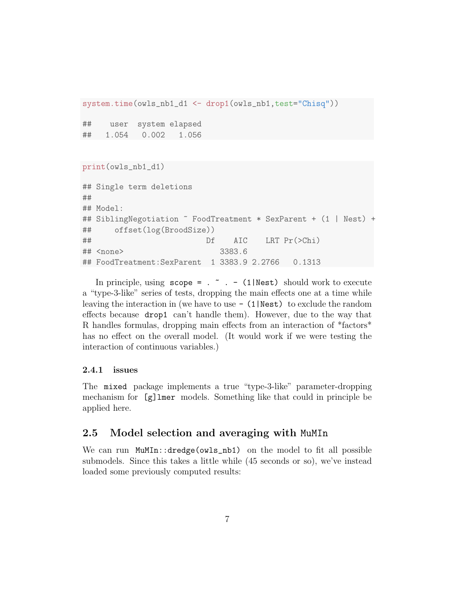```
system.time(owls_nb1_d1 <- drop1(owls_nb1,test="Chisq"))
## user system elapsed
## 1.054 0.002 1.056
print(owls_nb1_d1)
## Single term deletions
##
## Model:
## SiblingNegotiation ~ FoodTreatment * SexParent + (1 | Nest) +
## offset(log(BroodSize))
## Df AIC LRT Pr(>Chi)
## <none> 3383.6
## FoodTreatment:SexParent 1 3383.9 2.2766 0.1313
```
In principle, using  $\text{scope} = . \text{ } ^{\sim}$  . - (1|Nest) should work to execute a "type-3-like" series of tests, dropping the main effects one at a time while leaving the interaction in (we have to use  $-$  (1|Nest) to exclude the random effects because drop1 can't handle them). However, due to the way that R handles formulas, dropping main effects from an interaction of \*factors\* has no effect on the overall model. (It would work if we were testing the interaction of continuous variables.)

### 2.4.1 issues

The mixed package implements a true "type-3-like" parameter-dropping mechanism for [g]lmer models. Something like that could in principle be applied here.

### 2.5 Model selection and averaging with MuMIn

We can run MuMIn::dredge(owls\_nb1) on the model to fit all possible submodels. Since this takes a little while (45 seconds or so), we've instead loaded some previously computed results: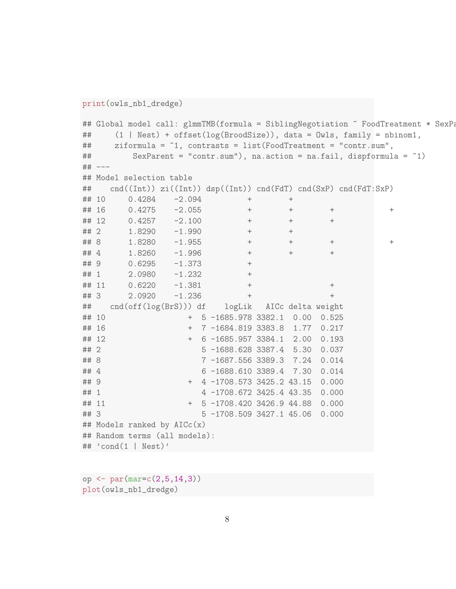```
print(owls_nb1_dredge)
## Global model call: glmmTMB(formula = SiblingNegotiation ~ FoodTreatment * SexPa
## (1 | Nest) + offset(log(BroodSize)), data = Owls, family = nbinom1,
## ziformula = ~1, contrasts = list(FoodTreatment = "contr.sum",
## SexParent = "contr.sum"), na.action = na.fail, dispformula = ~1)
## ---
## Model selection table
## cnd((Int)) zi((Int)) dsp((Int)) cnd(FdT) cnd(SxP) cnd(FdT:SxP)
## 10 0.4284 -2.094 + +
## 16 0.4275 -2.055 + + + +
## 12 0.4257 -2.100 + + +
## 2 1.8290 -1.990 + +
## 8 1.8280 -1.955 + + + +
## 4 1.8260 -1.996 + + +
## 9 0.6295 -1.373 +
## 1 2.0980 -1.232 +
## 11 0.6220 -1.381 + +
## 3 2.0920 -1.236 + +
## cnd(off(log(BrS))) df logLik AICc delta weight
## 10 + 5 -1685.978 3382.1 0.00 0.525
## 16 + 7 -1684.819 3383.8 1.77 0.217
## 12 + 6 -1685.957 3384.1 2.00 0.193
## 2 5 -1688.628 3387.4 5.30 0.037
## 8 7 -1687.556 3389.3 7.24 0.014
## 4 6 -1688.610 3389.4 7.30 0.014
## 9 + 4 -1708.573 3425.2 43.15 0.000
## 1 4 -1708.672 3425.4 43.35 0.000
## 11 + 5 -1708.420 3426.9 44.88 0.000
## 3 5 -1708.509 3427.1 45.06 0.000
## Models ranked by AICc(x)
## Random terms (all models):
## 'cond(1 | Nest)'
```

```
op <- par(mar=c(2,5,14,3))
plot(owls_nb1_dredge)
```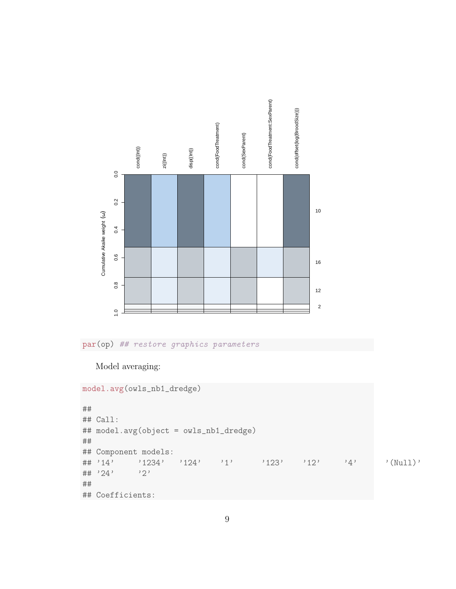



```
Model averaging:
```

```
model.avg(owls_nb1_dredge)
##
## Call:
## model.avg(object = owls_nb1_dredge)
##
## Component models:
## '14' '1234' '124' '1' '123' '12' '4' '(Null)'
## '24' '2'
##
## Coefficients:
```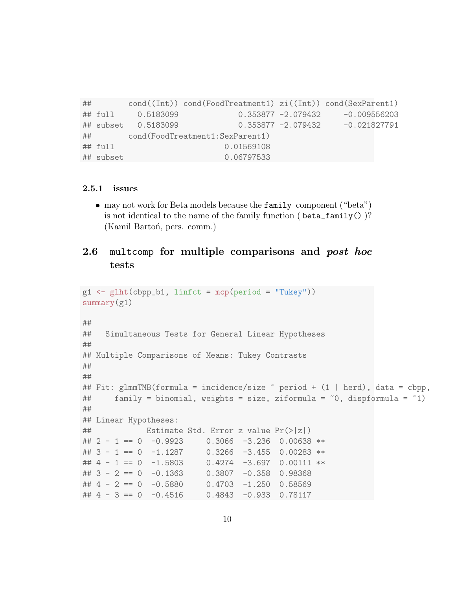```
## cond((Int)) cond(FoodTreatment1) zi((Int)) cond(SexParent1)
## full 0.5183099 0.353877 -2.079432 -0.009556203
## subset 0.5183099 0.353877 -2.079432 -0.021827791
## cond(FoodTreatment1:SexParent1)
## full 0.01569108
## subset 0.06797533
```
### 2.5.1 issues

 may not work for Beta models because the family component ("beta") is not identical to the name of the family function ( beta\_family() )? (Kamil Barton, pers. comm.)

### 2.6 multcomp for multiple comparisons and post hoc tests

```
g1 \leftarrow g1ht(cbpp_b1, linfct = mcp(period = "Tukey"))
summary(g1)
##
## Simultaneous Tests for General Linear Hypotheses
##
## Multiple Comparisons of Means: Tukey Contrasts
##
##
## Fit: glmmTMB(formula = incidence/size ~ period + (1 | herd), data = cbpp,
## family = binomial, weights = size, ziformula = 0, dispformula = 1)
##
## Linear Hypotheses:
## Estimate Std. Error z value Pr(>|z|)
## 2 - 1 == 0 -0.9923 0.3066 -3.236 0.00638 **
## 3 - 1 == 0 -1.1287 0.3266 -3.455 0.00283**
## 4 - 1 == 0 -1.5803 0.4274 -3.697 0.00111 **\# 3 - 2 = 0 -0.1363 0.3807 -0.358 0.98368
\# 4 - 2 = 0 -0.5880 0.4703 -1.250 0.58569
\# \# \# \leftarrow 3 = \# 0.4516 0.4843 -0.933 0.78117
```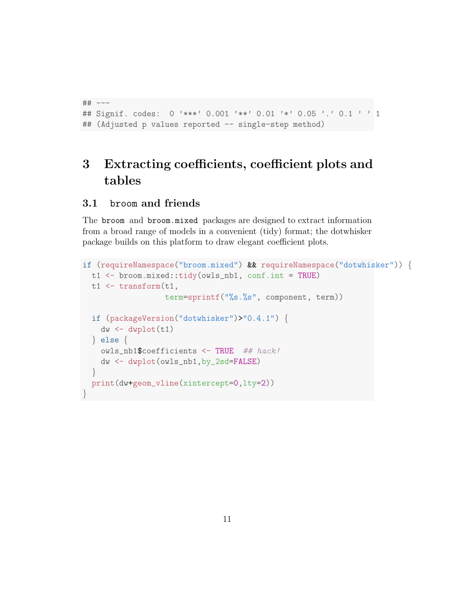```
## ---
## Signif. codes: 0 '***' 0.001 '**' 0.01 '*' 0.05 '.' 0.1 ' ' 1
## (Adjusted p values reported -- single-step method)
```
## 3 Extracting coefficients, coefficient plots and tables

### 3.1 broom and friends

The broom and broom.mixed packages are designed to extract information from a broad range of models in a convenient (tidy) format; the dotwhisker package builds on this platform to draw elegant coefficient plots.

```
if (requireNamespace("broom.mixed") && requireNamespace("dotwhisker")) {
 t1 <- broom.mixed::tidy(owls_nb1, conf.int = TRUE)
 t1 <- transform(t1,term=sprintf("%s.%s", component, term))
  if (packageVersion("dotwhisker")>"0.4.1") {
    dw \leftarrow dwplot(t1)} else {
    owls_nb1$coefficients <- TRUE ## hack!
    dw <- dwplot(owls_nb1,by_2sd=FALSE)
  }
 print(dw+geom_vline(xintercept=0,lty=2))
}
```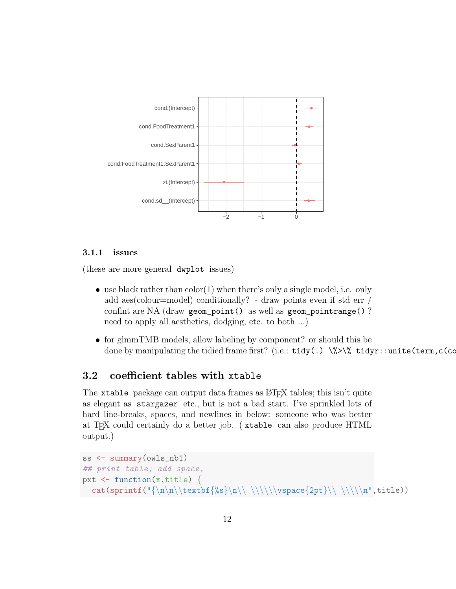

### 3.1.1 issues

(these are more general dwplot issues)

- $\bullet$  use black rather than  $color(1)$  when there's only a single model, i.e. only add aes(colour=model) conditionally? - draw points even if std err / confint are NA (draw geom\_point() as well as geom\_pointrange() ? need to apply all aesthetics, dodging, etc. to both ...)
- for glmmTMB models, allow labeling by component? or should this be done by manipulating the tidied frame first? (i.e.: tidy(.) \%>\% tidyr::unite(term,c(cc

### 3.2 coefficient tables with xtable

The xtable package can output data frames as L<sup>AT</sup>FX tables; this isn't quite as elegant as stargazer etc., but is not a bad start. I've sprinkled lots of hard line-breaks, spaces, and newlines in below: someone who was better at TEX could certainly do a better job. ( xtable can also produce HTML output.)

```
ss <- summary(owls_nb1)
## print table; add space,
pxt \leq function(x,title) {
 cat(sprintf("{\n\n\\textbf{%s}\n\\ \\\\\\vspace{2pt}\\ \\\\\n",title))
```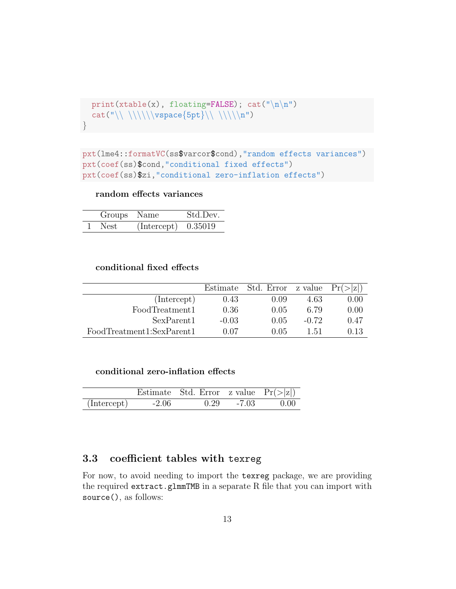```
print(xtable(x), floating=False); cat("n\n')cat("\\\\\\\vspace{5pt}\\\\\\n")
```

```
pxt(lme4::formatVC(ss$varcor$cond),"random effects variances")
pxt(coef(ss)$cond,"conditional fixed effects")
pxt(coef(ss)$zi,"conditional zero-inflation effects")
```
### random effects variances

}

| Groups Name |                       | Std.Dev. |
|-------------|-----------------------|----------|
| Nest        | $(Intercept)$ 0.35019 |          |

### conditional fixed effects

|                           |         | Estimate Std. Error z value $Pr(> z )$ |         |      |
|---------------------------|---------|----------------------------------------|---------|------|
| (Intercept)               | 0.43    | 0.09                                   | 4.63    | 0.00 |
| FoodTreatment1            | 0.36    | 0.05                                   | 6.79    | 0.00 |
| SexParent1                | $-0.03$ | 0.05                                   | $-0.72$ | 0.47 |
| FoodTreatment1:SexParent1 | 0.07    | (1.05)                                 | 1.51    | 0.13 |

### conditional zero-inflation effects

|             |         | Estimate Std. Error z value $Pr(> z )$ |              |      |
|-------------|---------|----------------------------------------|--------------|------|
| (Intercept) | $-2.06$ |                                        | $0.29 -7.03$ | 0.00 |

### 3.3 coefficient tables with texreg

For now, to avoid needing to import the texreg package, we are providing the required extract.glmmTMB in a separate R file that you can import with source(), as follows: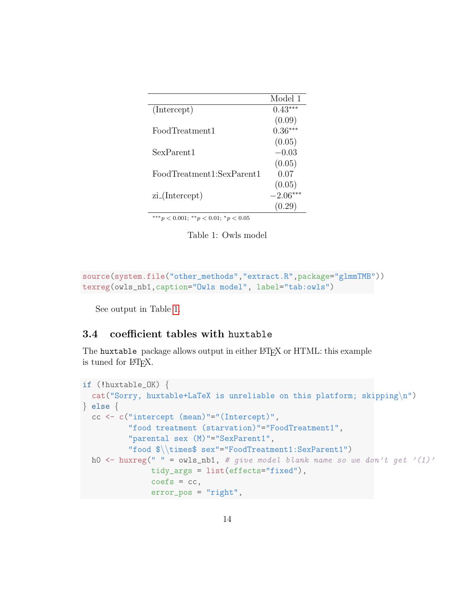<span id="page-13-0"></span>

| Model 1    |
|------------|
| $0.43***$  |
| (0.09)     |
| $0.36***$  |
| (0.05)     |
| $-0.03$    |
| (0.05)     |
| 0.07       |
| (0.05)     |
| $-2.06***$ |
| (0.29)     |
|            |

∗∗∗p < 0.001; ∗∗p < 0.01; <sup>∗</sup>p < 0.05

Table 1: Owls model

source(system.file("other\_methods","extract.R",package="glmmTMB")) texreg(owls\_nb1,caption="Owls model", label="tab:owls")

See output in Table [1.](#page-13-0)

### 3.4 coefficient tables with huxtable

The huxtable package allows output in either LAT<sub>E</sub>X or HTML: this example is tuned for LAT<sub>EX</sub>.

```
if (!huxtable_OK) {
 cat("Sorry, huxtable+LaTeX is unreliable on this platform; skipping\n")
} else {
 cc <- c("intercept (mean)"="(Intercept)",
          "food treatment (starvation)"="FoodTreatment1",
          "parental sex (M)"="SexParent1",
          "food $\\times$ sex"="FoodTreatment1:SexParent1")
 h0 <- huxreg(" " = owls_nb1, # give model blank name so we don't get '(1)'
               tidy_args = list(effects="fixed"),
               coeffs = cc,error_pos = "right",
```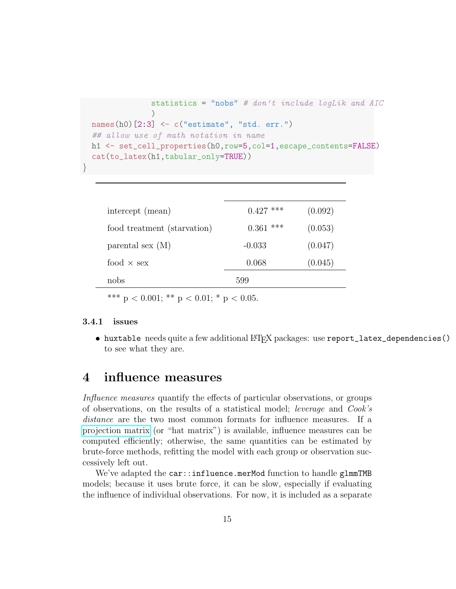```
statistics = "nobs" # don't include logLik and AIC)
names(h0)[2:3] <- c("estimate", "std. err.")
## allow use of math notation in name
h1 <- set_cell_properties(h0,row=5,col=1,escape_contents=FALSE)
cat(to_latex(h1,tabular_only=TRUE))
```

| intercept (mean)            | $0.427$ *** | (0.092) |
|-----------------------------|-------------|---------|
| food treatment (starvation) | $0.361$ *** | (0.053) |
| parental sex $(M)$          | $-0.033$    | (0.047) |
| food $\times$ sex           | 0.068       | (0.045) |
| nobs                        | 599         |         |

\*\*\* p < 0.001; \*\* p < 0.01; \* p < 0.05.

#### 3.4.1 issues

}

 $\bullet$  huxtable needs quite a few additional  $\LaTeX{}$  packages: use report\_latex\_dependencies() to see what they are.

### 4 influence measures

Influence measures quantify the effects of particular observations, or groups of observations, on the results of a statistical model; leverage and Cook's distance are the two most common formats for influence measures. If a [projection matrix](https://en.wikipedia.org/wiki/Projection_matrix) (or "hat matrix") is available, influence measures can be computed efficiently; otherwise, the same quantities can be estimated by brute-force methods, refitting the model with each group or observation successively left out.

We've adapted the  $car::influence.merMod function to handle glmmTMB$ models; because it uses brute force, it can be slow, especially if evaluating the influence of individual observations. For now, it is included as a separate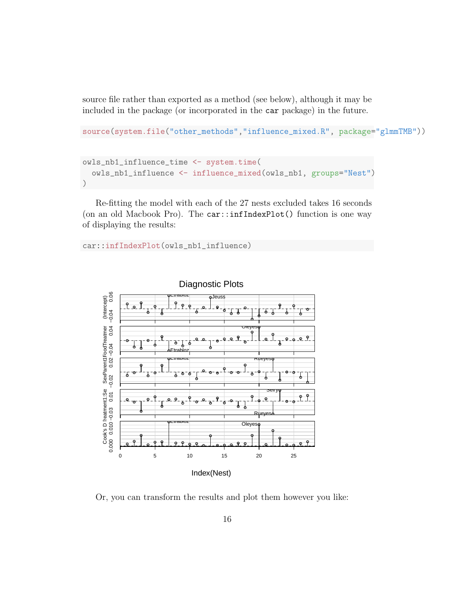source file rather than exported as a method (see below), although it may be included in the package (or incorporated in the car package) in the future.

```
source(system.file("other_methods","influence_mixed.R", package="glmmTMB"))
```

```
owls_nb1_influence_time <- system.time(
  owls_nb1_influence <- influence_mixed(owls_nb1, groups="Nest")
)
```
Re-fitting the model with each of the 27 nests excluded takes 16 seconds (on an old Macbook Pro). The car::infIndexPlot() function is one way of displaying the results:

```
car::infIndexPlot(owls_nb1_influence)
```


Or, you can transform the results and plot them however you like: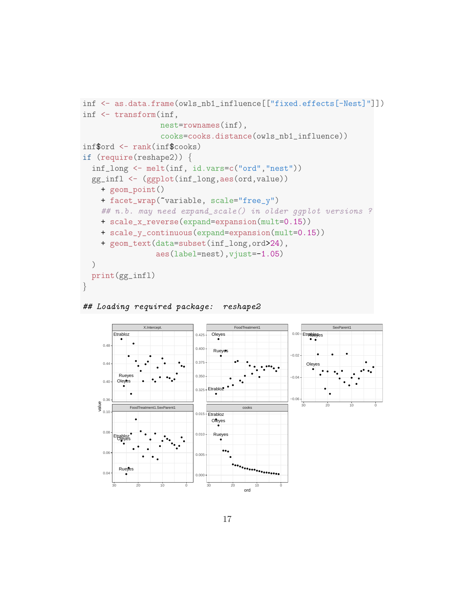```
inf <- as.data.frame(owls_nb1_influence[["fixed.effects[-Nest]"]])
inf <- transform(inf,
                 nest=rownames(inf),
                 cooks=cooks.distance(owls_nb1_influence))
inf$ord <- rank(inf$cooks)
if (require(reshape2)) {
 inf_long <- melt(inf, id.vars=c("ord","nest"))
 gg_infl <- (ggplot(inf_long,aes(ord,value))
   + geom_point()
   + facet_wrap(~variable, scale="free_y")
   ## n.b. may need expand_scale() in older gaplot versions ?
   + scale_x_reverse(expand=expansion(mult=0.15))
   + scale_y_continuous(expand=expansion(mult=0.15))
   + geom_text(data=subset(inf_long,ord>24),
                aes(label=nest),vjust=-1.05)
 )
 print(gg_infl)
}
```
## Loading required package: reshape2